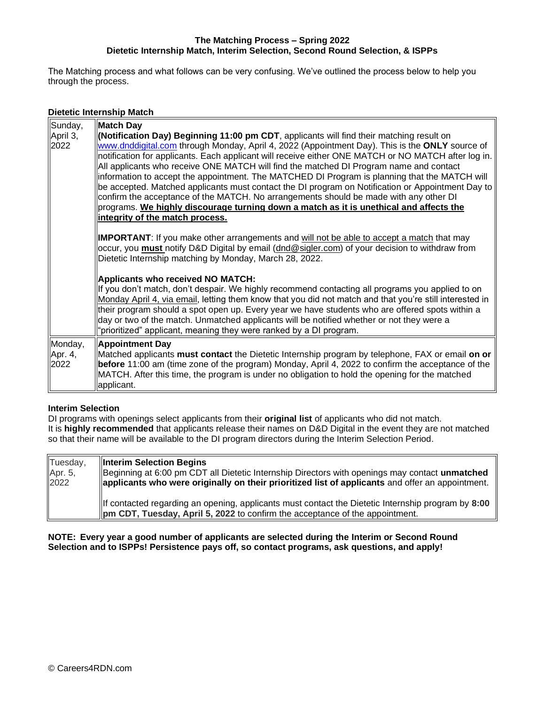#### **The Matching Process – Spring 2022 Dietetic Internship Match, Interim Selection, Second Round Selection, & ISPPs**

The Matching process and what follows can be very confusing. We've outlined the process below to help you through the process.

## **Dietetic Internship Match**

| Sunday,<br>April 3,<br>2022 | <b>Match Day</b><br>(Notification Day) Beginning 11:00 pm CDT, applicants will find their matching result on<br>www.dnddigital.com through Monday, April 4, 2022 (Appointment Day). This is the ONLY source of<br>notification for applicants. Each applicant will receive either ONE MATCH or NO MATCH after log in.<br>All applicants who receive ONE MATCH will find the matched DI Program name and contact<br>information to accept the appointment. The MATCHED DI Program is planning that the MATCH will<br>be accepted. Matched applicants must contact the DI program on Notification or Appointment Day to<br>confirm the acceptance of the MATCH. No arrangements should be made with any other DI<br>programs. We highly discourage turning down a match as it is unethical and affects the<br>integrity of the match process. |
|-----------------------------|---------------------------------------------------------------------------------------------------------------------------------------------------------------------------------------------------------------------------------------------------------------------------------------------------------------------------------------------------------------------------------------------------------------------------------------------------------------------------------------------------------------------------------------------------------------------------------------------------------------------------------------------------------------------------------------------------------------------------------------------------------------------------------------------------------------------------------------------|
|                             | <b>IMPORTANT:</b> If you make other arrangements and will not be able to accept a match that may<br>occur, you <b>must</b> notify D&D Digital by email (dnd@sigler.com) of your decision to withdraw from<br>Dietetic Internship matching by Monday, March 28, 2022.                                                                                                                                                                                                                                                                                                                                                                                                                                                                                                                                                                        |
|                             | <b>Applicants who received NO MATCH:</b><br>If you don't match, don't despair. We highly recommend contacting all programs you applied to on<br>Monday April 4, via email, letting them know that you did not match and that you're still interested in<br>their program should a spot open up. Every year we have students who are offered spots within a<br>day or two of the match. Unmatched applicants will be notified whether or not they were a<br>"prioritized" applicant, meaning they were ranked by a DI program.                                                                                                                                                                                                                                                                                                               |
| Monday,<br>Apr. 4,<br>2022  | <b>Appointment Day</b><br>Matched applicants must contact the Dietetic Internship program by telephone, FAX or email on or<br>before 11:00 am (time zone of the program) Monday, April 4, 2022 to confirm the acceptance of the<br>MATCH. After this time, the program is under no obligation to hold the opening for the matched<br>applicant.                                                                                                                                                                                                                                                                                                                                                                                                                                                                                             |

#### **Interim Selection**

DI programs with openings select applicants from their **original list** of applicants who did not match. It is **highly recommended** that applicants release their names on D&D Digital in the event they are not matched so that their name will be available to the DI program directors during the Interim Selection Period.

| Tuesday,<br>Apr. 5,<br>2022 | Interim Selection Begins<br>Beginning at 6:00 pm CDT all Dietetic Internship Directors with openings may contact unmatched<br>applicants who were originally on their prioritized list of applicants and offer an appointment. |
|-----------------------------|--------------------------------------------------------------------------------------------------------------------------------------------------------------------------------------------------------------------------------|
|                             | If contacted regarding an opening, applicants must contact the Dietetic Internship program by 8:00<br><b>properation</b> CDT, Tuesday, April 5, 2022 to confirm the acceptance of the appointment.                             |

**NOTE: Every year a good number of applicants are selected during the Interim or Second Round Selection and to ISPPs! Persistence pays off, so contact programs, ask questions, and apply!**